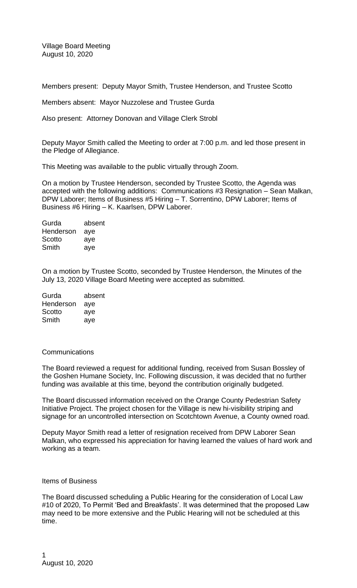Village Board Meeting August 10, 2020

Members present: Deputy Mayor Smith, Trustee Henderson, and Trustee Scotto

Members absent: Mayor Nuzzolese and Trustee Gurda

Also present: Attorney Donovan and Village Clerk Strobl

Deputy Mayor Smith called the Meeting to order at 7:00 p.m. and led those present in the Pledge of Allegiance.

This Meeting was available to the public virtually through Zoom.

On a motion by Trustee Henderson, seconded by Trustee Scotto, the Agenda was accepted with the following additions: Communications #3 Resignation – Sean Malkan, DPW Laborer; Items of Business #5 Hiring – T. Sorrentino, DPW Laborer; Items of Business #6 Hiring – K. Kaarlsen, DPW Laborer.

| absent |
|--------|
| aye    |
| aye    |
| aye    |
|        |

On a motion by Trustee Scotto, seconded by Trustee Henderson, the Minutes of the July 13, 2020 Village Board Meeting were accepted as submitted.

| Gurda     | absent |
|-----------|--------|
| Henderson | aye    |
| Scotto    | aye    |
| Smith     | aye    |

## **Communications**

The Board reviewed a request for additional funding, received from Susan Bossley of the Goshen Humane Society, Inc. Following discussion, it was decided that no further funding was available at this time, beyond the contribution originally budgeted.

The Board discussed information received on the Orange County Pedestrian Safety Initiative Project. The project chosen for the Village is new hi-visibility striping and signage for an uncontrolled intersection on Scotchtown Avenue, a County owned road.

Deputy Mayor Smith read a letter of resignation received from DPW Laborer Sean Malkan, who expressed his appreciation for having learned the values of hard work and working as a team.

## Items of Business

The Board discussed scheduling a Public Hearing for the consideration of Local Law #10 of 2020, To Permit 'Bed and Breakfasts'. It was determined that the proposed Law may need to be more extensive and the Public Hearing will not be scheduled at this time.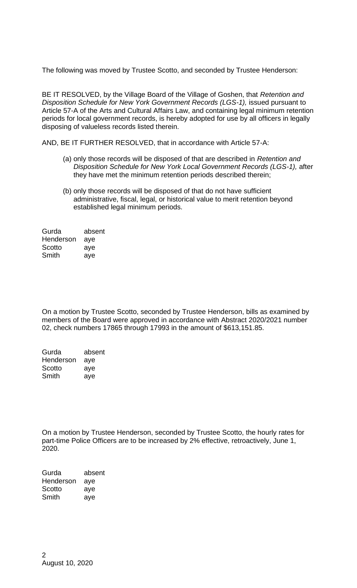The following was moved by Trustee Scotto, and seconded by Trustee Henderson:

BE IT RESOLVED, by the Village Board of the Village of Goshen, that *Retention and Disposition Schedule for New York Government Records (LGS-1), issued pursuant to* Article 57-A of the Arts and Cultural Affairs Law, and containing legal minimum retention periods for local government records, is hereby adopted for use by all officers in legally disposing of valueless records listed therein.

AND, BE IT FURTHER RESOLVED, that in accordance with Article 57-A:

- (a) only those records will be disposed of that are described in *Retention and Disposition Schedule for New York Local Government Records (LGS-1),* after they have met the minimum retention periods described therein;
- (b) only those records will be disposed of that do not have sufficient administrative, fiscal, legal, or historical value to merit retention beyond established legal minimum periods.

| Gurda     | absent |
|-----------|--------|
| Henderson | aye    |
| Scotto    | aye    |
| Smith     | aye    |

On a motion by Trustee Scotto, seconded by Trustee Henderson, bills as examined by members of the Board were approved in accordance with Abstract 2020/2021 number 02, check numbers 17865 through 17993 in the amount of \$613,151.85.

| Gurda     | absent |
|-----------|--------|
| Henderson | aye    |
| Scotto    | aye    |
| Smith     | aye    |

On a motion by Trustee Henderson, seconded by Trustee Scotto, the hourly rates for part-time Police Officers are to be increased by 2% effective, retroactively, June 1, 2020.

Gurda absent Henderson aye Scotto aye Smith aye